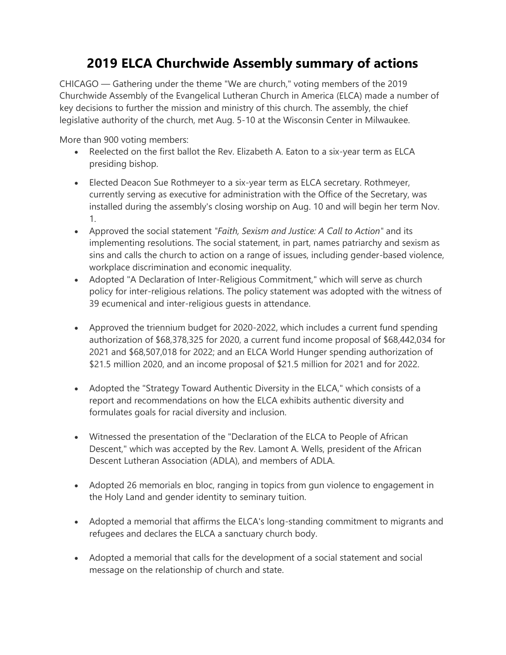## **2019 ELCA Churchwide Assembly summary of actions**

CHICAGO — Gathering under the theme "We are church," voting members of the 2019 Churchwide Assembly of the Evangelical Lutheran Church in America (ELCA) made a number of key decisions to further the mission and ministry of this church. The assembly, the chief legislative authority of the church, met Aug. 5-10 at the Wisconsin Center in Milwaukee.

More than 900 voting members:

- Reelected on the first ballot the Rev. Elizabeth A. Eaton to a six-year term as ELCA presiding bishop.
- Elected Deacon Sue Rothmeyer to a six-year term as ELCA secretary. Rothmeyer, currently serving as executive for administration with the Office of the Secretary, was installed during the assembly's closing worship on Aug. 10 and will begin her term Nov. 1.
- Approved the social statement *"Faith, Sexism and Justice: A Call to Action"* and its implementing resolutions. The social statement, in part, names patriarchy and sexism as sins and calls the church to action on a range of issues, including gender-based violence, workplace discrimination and economic inequality.
- Adopted "A Declaration of Inter-Religious Commitment," which will serve as church policy for inter-religious relations. The policy statement was adopted with the witness of 39 ecumenical and inter-religious guests in attendance.
- Approved the triennium budget for 2020-2022, which includes a current fund spending authorization of \$68,378,325 for 2020, a current fund income proposal of \$68,442,034 for 2021 and \$68,507,018 for 2022; and an ELCA World Hunger spending authorization of \$21.5 million 2020, and an income proposal of \$21.5 million for 2021 and for 2022.
- Adopted the "Strategy Toward Authentic Diversity in the ELCA," which consists of a report and recommendations on how the ELCA exhibits authentic diversity and formulates goals for racial diversity and inclusion.
- Witnessed the presentation of the "Declaration of the ELCA to People of African Descent," which was accepted by the Rev. Lamont A. Wells, president of the African Descent Lutheran Association (ADLA), and members of ADLA.
- Adopted 26 memorials en bloc, ranging in topics from gun violence to engagement in the Holy Land and gender identity to seminary tuition.
- Adopted a memorial that affirms the ELCA's long-standing commitment to migrants and refugees and declares the ELCA a sanctuary church body.
- Adopted a memorial that calls for the development of a social statement and social message on the relationship of church and state.